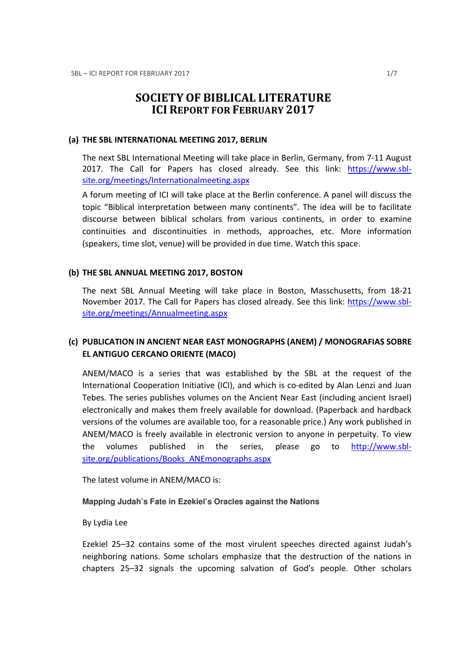# SOCIETY OF BIBLICAL LITERATURE ICI REPORT FOR FEBRUARY 2017

#### (a) THE SBL INTERNATIONAL MEETING 2017, BERLIN

The next SBL International Meeting will take place in Berlin, Germany, from 7-11 August 2017. The Call for Papers has closed already. See this link: https://www.sblsite.org/meetings/Internationalmeeting.aspx

A forum meeting of ICI will take place at the Berlin conference. A panel will discuss the topic "Biblical interpretation between many continents". The idea will be to facilitate discourse between biblical scholars from various continents, in order to examine continuities and discontinuities in methods, approaches, etc. More information (speakers, time slot, venue) will be provided in due time. Watch this space.

### (b) THE SBL ANNUAL MEETING 2017, BOSTON

The next SBL Annual Meeting will take place in Boston, Masschusetts, from 18-21 November 2017. The Call for Papers has closed already. See this link: https://www.sblsite.org/meetings/Annualmeeting.aspx

# (c) PUBLICATION IN ANCIENT NEAR EAST MONOGRAPHS (ANEM) / MONOGRAFIAS SOBRE EL ANTIGUO CERCANO ORIENTE (MACO)

ANEM/MACO is a series that was established by the SBL at the request of the International Cooperation Initiative (ICI), and which is co-edited by Alan Lenzi and Juan Tebes. The series publishes volumes on the Ancient Near East (including ancient Israel) electronically and makes them freely available for download. (Paperback and hardback versions of the volumes are available too, for a reasonable price.) Any work published in ANEM/MACO is freely available in electronic version to anyone in perpetuity. To view the volumes published in the series, please go to http://www.sblsite.org/publications/Books\_ANEmonographs.aspx

The latest volume in ANEM/MACO is:

#### **Mapping Judah's Fate in Ezekiel's Oracles against the Nations**

By Lydia Lee

Ezekiel 25–32 contains some of the most virulent speeches directed against Judah's neighboring nations. Some scholars emphasize that the destruction of the nations in chapters 25–32 signals the upcoming salvation of God's people. Other scholars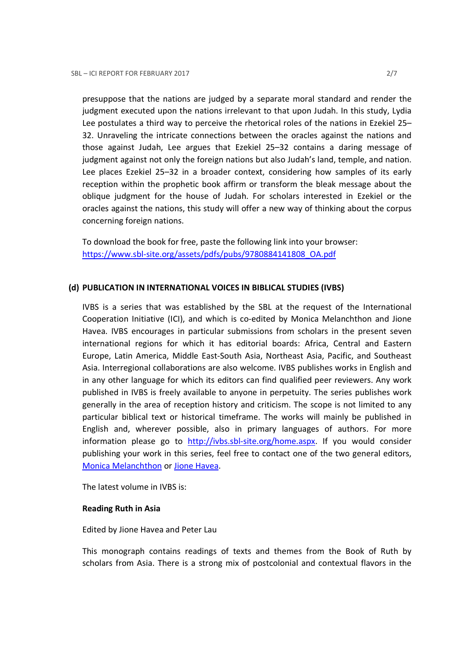presuppose that the nations are judged by a separate moral standard and render the judgment executed upon the nations irrelevant to that upon Judah. In this study, Lydia Lee postulates a third way to perceive the rhetorical roles of the nations in Ezekiel 25– 32. Unraveling the intricate connections between the oracles against the nations and those against Judah, Lee argues that Ezekiel 25–32 contains a daring message of judgment against not only the foreign nations but also Judah's land, temple, and nation. Lee places Ezekiel 25–32 in a broader context, considering how samples of its early reception within the prophetic book affirm or transform the bleak message about the oblique judgment for the house of Judah. For scholars interested in Ezekiel or the oracles against the nations, this study will offer a new way of thinking about the corpus concerning foreign nations.

To download the book for free, paste the following link into your browser: https://www.sbl-site.org/assets/pdfs/pubs/9780884141808\_OA.pdf

### (d) PUBLICATION IN INTERNATIONAL VOICES IN BIBLICAL STUDIES (IVBS)

IVBS is a series that was established by the SBL at the request of the International Cooperation Initiative (ICI), and which is co-edited by Monica Melanchthon and Jione Havea. IVBS encourages in particular submissions from scholars in the present seven international regions for which it has editorial boards: Africa, Central and Eastern Europe, Latin America, Middle East-South Asia, Northeast Asia, Pacific, and Southeast Asia. Interregional collaborations are also welcome. IVBS publishes works in English and in any other language for which its editors can find qualified peer reviewers. Any work published in IVBS is freely available to anyone in perpetuity. The series publishes work generally in the area of reception history and criticism. The scope is not limited to any particular biblical text or historical timeframe. The works will mainly be published in English and, wherever possible, also in primary languages of authors. For more information please go to http://ivbs.sbl-site.org/home.aspx. If you would consider publishing your work in this series, feel free to contact one of the two general editors, Monica Melanchthon or Jione Havea.

The latest volume in IVBS is:

### Reading Ruth in Asia

### Edited by Jione Havea and Peter Lau

This monograph contains readings of texts and themes from the Book of Ruth by scholars from Asia. There is a strong mix of postcolonial and contextual flavors in the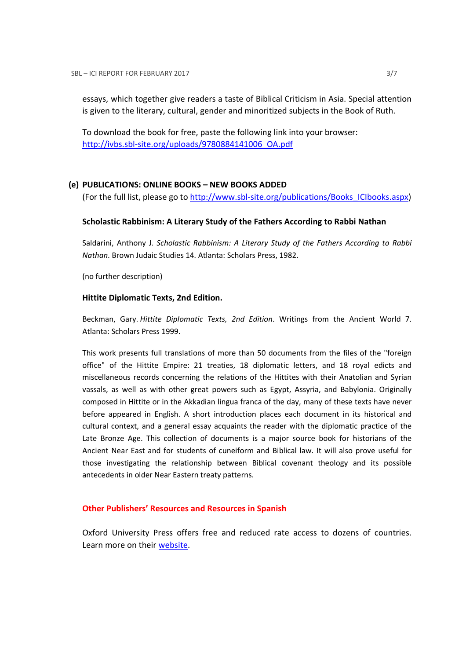essays, which together give readers a taste of Biblical Criticism in Asia. Special attention is given to the literary, cultural, gender and minoritized subjects in the Book of Ruth.

To download the book for free, paste the following link into your browser: http://ivbs.sbl-site.org/uploads/9780884141006\_OA.pdf

### (e) PUBLICATIONS: ONLINE BOOKS – NEW BOOKS ADDED

(For the full list, please go to http://www.sbl-site.org/publications/Books\_ICIbooks.aspx)

### Scholastic Rabbinism: A Literary Study of the Fathers According to Rabbi Nathan

Saldarini, Anthony J. Scholastic Rabbinism: A Literary Study of the Fathers According to Rabbi Nathan. Brown Judaic Studies 14. Atlanta: Scholars Press, 1982.

(no further description)

#### Hittite Diplomatic Texts, 2nd Edition.

Beckman, Gary. Hittite Diplomatic Texts, 2nd Edition. Writings from the Ancient World 7. Atlanta: Scholars Press 1999.

This work presents full translations of more than 50 documents from the files of the "foreign office" of the Hittite Empire: 21 treaties, 18 diplomatic letters, and 18 royal edicts and miscellaneous records concerning the relations of the Hittites with their Anatolian and Syrian vassals, as well as with other great powers such as Egypt, Assyria, and Babylonia. Originally composed in Hittite or in the Akkadian lingua franca of the day, many of these texts have never before appeared in English. A short introduction places each document in its historical and cultural context, and a general essay acquaints the reader with the diplomatic practice of the Late Bronze Age. This collection of documents is a major source book for historians of the Ancient Near East and for students of cuneiform and Biblical law. It will also prove useful for those investigating the relationship between Biblical covenant theology and its possible antecedents in older Near Eastern treaty patterns.

### Other Publishers' Resources and Resources in Spanish

Oxford University Press offers free and reduced rate access to dozens of countries. Learn more on their website.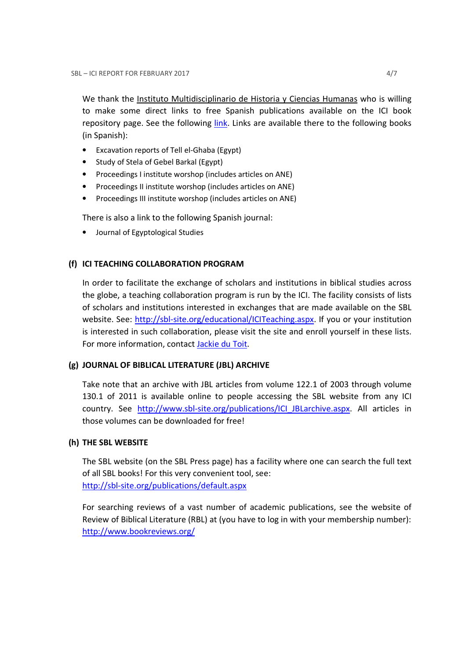We thank the Instituto Multidisciplinario de Historia y Ciencias Humanas who is willing to make some direct links to free Spanish publications available on the ICI book repository page. See the following link. Links are available there to the following books (in Spanish):

- Excavation reports of Tell el-Ghaba (Egypt)
- Study of Stela of Gebel Barkal (Egypt)
- Proceedings I institute worshop (includes articles on ANE)
- Proceedings II institute worshop (includes articles on ANE)
- Proceedings III institute worshop (includes articles on ANE)

There is also a link to the following Spanish journal:

• Journal of Egyptological Studies

# (f) ICI TEACHING COLLABORATION PROGRAM

In order to facilitate the exchange of scholars and institutions in biblical studies across the globe, a teaching collaboration program is run by the ICI. The facility consists of lists of scholars and institutions interested in exchanges that are made available on the SBL website. See: http://sbl-site.org/educational/ICITeaching.aspx. If you or your institution is interested in such collaboration, please visit the site and enroll yourself in these lists. For more information, contact Jackie du Toit.

# (g) JOURNAL OF BIBLICAL LITERATURE (JBL) ARCHIVE

Take note that an archive with JBL articles from volume 122.1 of 2003 through volume 130.1 of 2011 is available online to people accessing the SBL website from any ICI country. See http://www.sbl-site.org/publications/ICI\_JBLarchive.aspx. All articles in those volumes can be downloaded for free!

# (h) THE SBL WEBSITE

The SBL website (on the SBL Press page) has a facility where one can search the full text of all SBL books! For this very convenient tool, see: http://sbl-site.org/publications/default.aspx

For searching reviews of a vast number of academic publications, see the website of Review of Biblical Literature (RBL) at (you have to log in with your membership number): http://www.bookreviews.org/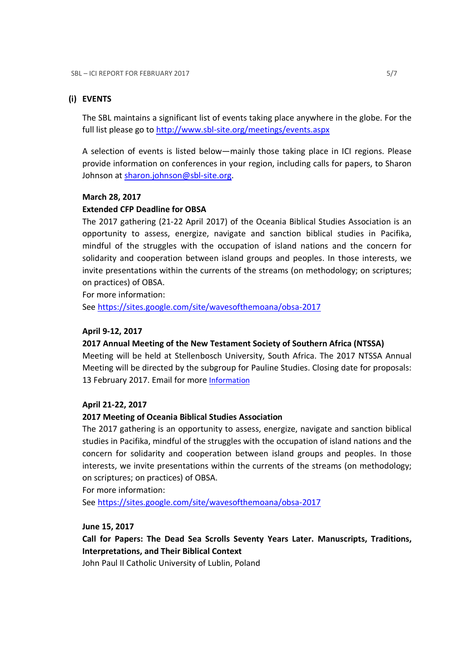### (i) EVENTS

The SBL maintains a significant list of events taking place anywhere in the globe. For the full list please go to http://www.sbl-site.org/meetings/events.aspx

A selection of events is listed below—mainly those taking place in ICI regions. Please provide information on conferences in your region, including calls for papers, to Sharon Johnson at sharon.johnson@sbl-site.org.

### March 28, 2017

### Extended CFP Deadline for OBSA

The 2017 gathering (21-22 April 2017) of the Oceania Biblical Studies Association is an opportunity to assess, energize, navigate and sanction biblical studies in Pacifika, mindful of the struggles with the occupation of island nations and the concern for solidarity and cooperation between island groups and peoples. In those interests, we invite presentations within the currents of the streams (on methodology; on scriptures; on practices) of OBSA.

For more information:

See https://sites.google.com/site/wavesofthemoana/obsa-2017

### April 9-12, 2017

### 2017 Annual Meeting of the New Testament Society of Southern Africa (NTSSA)

Meeting will be held at Stellenbosch University, South Africa. The 2017 NTSSA Annual Meeting will be directed by the subgroup for Pauline Studies. Closing date for proposals: 13 February 2017. Email for more Information

### April 21-22, 2017

### 2017 Meeting of Oceania Biblical Studies Association

The 2017 gathering is an opportunity to assess, energize, navigate and sanction biblical studies in Pacifika, mindful of the struggles with the occupation of island nations and the concern for solidarity and cooperation between island groups and peoples. In those interests, we invite presentations within the currents of the streams (on methodology; on scriptures; on practices) of OBSA.

For more information:

See https://sites.google.com/site/wavesofthemoana/obsa-2017

### June 15, 2017

Call for Papers: The Dead Sea Scrolls Seventy Years Later. Manuscripts, Traditions, Interpretations, and Their Biblical Context

John Paul II Catholic University of Lublin, Poland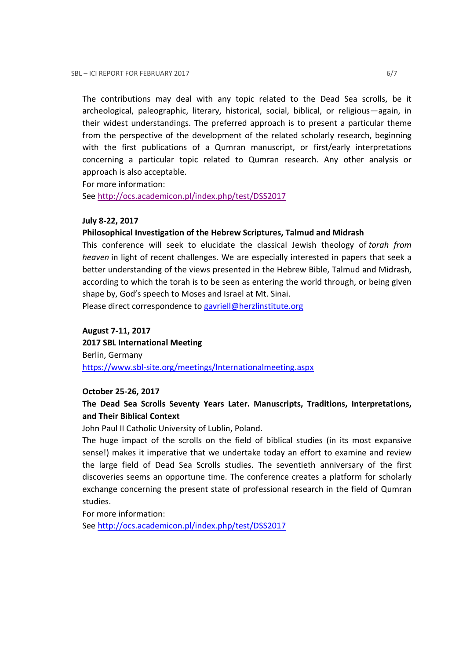The contributions may deal with any topic related to the Dead Sea scrolls, be it archeological, paleographic, literary, historical, social, biblical, or religious—again, in their widest understandings. The preferred approach is to present a particular theme from the perspective of the development of the related scholarly research, beginning with the first publications of a Qumran manuscript, or first/early interpretations concerning a particular topic related to Qumran research. Any other analysis or approach is also acceptable.

For more information:

See http://ocs.academicon.pl/index.php/test/DSS2017

### July 8-22, 2017

### Philosophical Investigation of the Hebrew Scriptures, Talmud and Midrash

This conference will seek to elucidate the classical Jewish theology of torah from heaven in light of recent challenges. We are especially interested in papers that seek a better understanding of the views presented in the Hebrew Bible, Talmud and Midrash, according to which the torah is to be seen as entering the world through, or being given shape by, God's speech to Moses and Israel at Mt. Sinai.

Please direct correspondence to gavriell@herzlinstitute.org

August 7-11, 2017

2017 SBL International Meeting Berlin, Germany https://www.sbl-site.org/meetings/Internationalmeeting.aspx

### October 25-26, 2017

# The Dead Sea Scrolls Seventy Years Later. Manuscripts, Traditions, Interpretations, and Their Biblical Context

John Paul II Catholic University of Lublin, Poland.

The huge impact of the scrolls on the field of biblical studies (in its most expansive sense!) makes it imperative that we undertake today an effort to examine and review the large field of Dead Sea Scrolls studies. The seventieth anniversary of the first discoveries seems an opportune time. The conference creates a platform for scholarly exchange concerning the present state of professional research in the field of Qumran studies.

For more information:

See http://ocs.academicon.pl/index.php/test/DSS2017